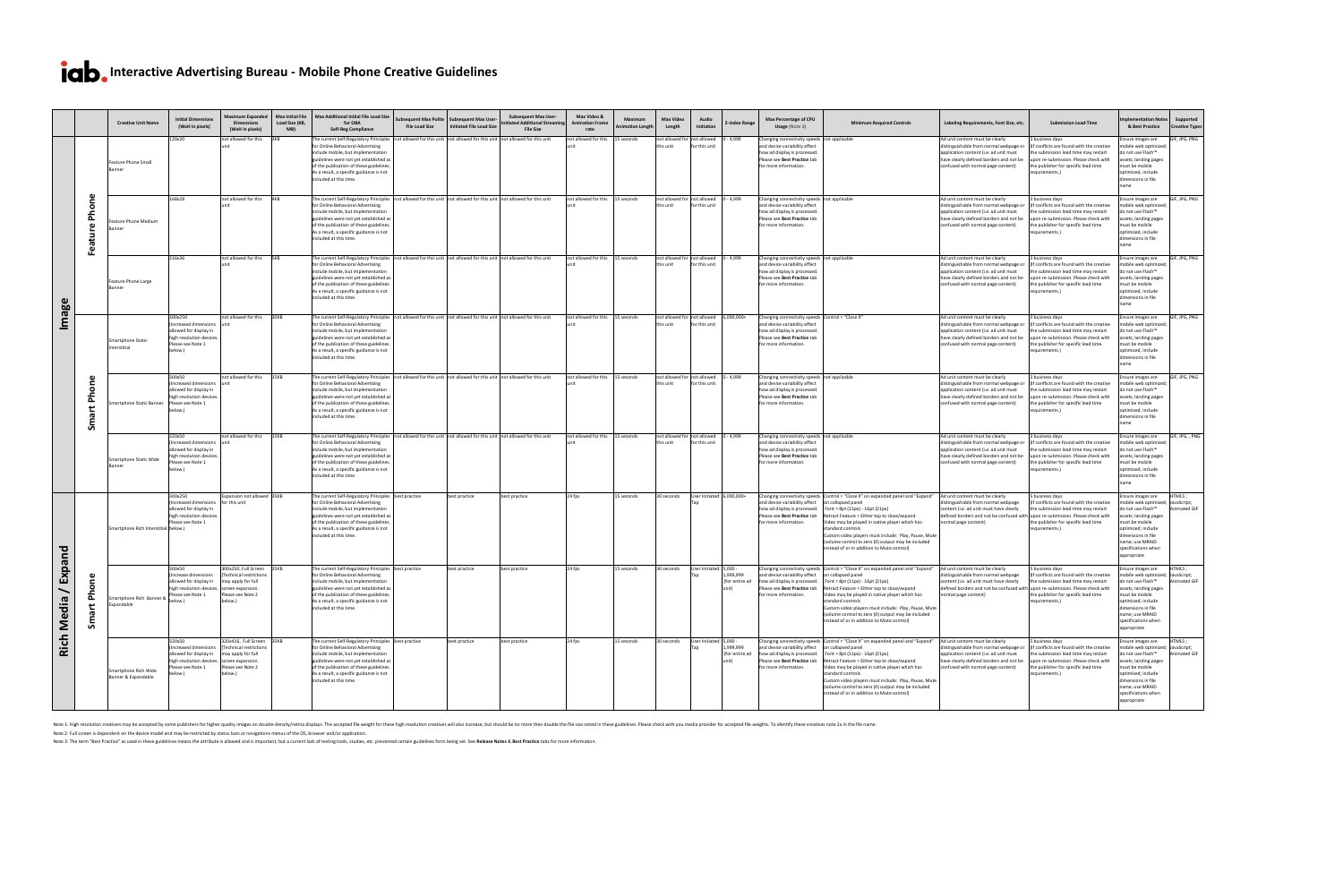# **Ich**, Interactive Advertising Bureau - Mobile Phone Creative Guidelines

|                                                     |                           | <b>Creative Unit Name</b>                   | <b>Initial Dimensions</b><br>(WxH in pixels)                                                                                             | <b>Maximum Expanded</b><br><b>Dimensions</b><br>(WxH in pixels)                                          | <b>Max Initial File</b><br>Load Size (KB,<br>MB) | Max Additional Initial File Load Size<br>for OBA<br><b>Self-Reg Compliance</b>                                                                                                                                                                                                                                                                                  | <b>File Load Size</b> | Subsequent Max Polite   Subsequent Max User-<br><b>Initiated File Load Size</b> | <b>Subsequent Max User-</b><br><b>Initiated Additional Streamir</b><br><b>File Size</b> | Max Video &<br><b>Animation Frame</b><br>rate | Maximum<br><b>Animation Length</b> | <b>Max Video</b><br>Length                                                  | Audio<br>Initiation                                            | <b>Z-index Range</b>        | Max Percentage of CPU<br>Usage (Note 3)                                                                                                                                   | <b>Minimum Required Controls</b>                                                                                                                                                                                                                                                                                                                                                                                                           | Labeling Requirements, Font Size, etc.                                                                                                                                                                                      | <b>Submission Lead-Time</b>                                                                                                                                                                             | Implementation Notes Supported<br><b>Creative Types</b><br>& Best Practice                                                                                                                                                                                               |
|-----------------------------------------------------|---------------------------|---------------------------------------------|------------------------------------------------------------------------------------------------------------------------------------------|----------------------------------------------------------------------------------------------------------|--------------------------------------------------|-----------------------------------------------------------------------------------------------------------------------------------------------------------------------------------------------------------------------------------------------------------------------------------------------------------------------------------------------------------------|-----------------------|---------------------------------------------------------------------------------|-----------------------------------------------------------------------------------------|-----------------------------------------------|------------------------------------|-----------------------------------------------------------------------------|----------------------------------------------------------------|-----------------------------|---------------------------------------------------------------------------------------------------------------------------------------------------------------------------|--------------------------------------------------------------------------------------------------------------------------------------------------------------------------------------------------------------------------------------------------------------------------------------------------------------------------------------------------------------------------------------------------------------------------------------------|-----------------------------------------------------------------------------------------------------------------------------------------------------------------------------------------------------------------------------|---------------------------------------------------------------------------------------------------------------------------------------------------------------------------------------------------------|--------------------------------------------------------------------------------------------------------------------------------------------------------------------------------------------------------------------------------------------------------------------------|
| age<br>$\Xi$                                        |                           | <b>Feature Phone Small</b><br>Banner        | 120x20                                                                                                                                   | not allowed for this                                                                                     |                                                  | The current Self-Regulatory Principles not allowed for this unit not allowed for this unit not allowed for this unit<br>for Online Behavioral Advertising<br>include mobile, but implementation<br>guidelines were not yet established as<br>of the publication of these guidelines.<br>As a result, a specific guidance is not<br>included at this time.       |                       |                                                                                 |                                                                                         | ot allowed for this                           | L5 seconds                         | not allowed for $\mathsf I$<br>this unit                                    | $\vert$ not allowed $\vert$ 0 - 4,999<br>for this unit         |                             | Changing connectivity speeds not applicable<br>and device variability affect<br>how ad display is processed.<br>Please see Best Practice tab<br>for more information.     |                                                                                                                                                                                                                                                                                                                                                                                                                                            | Ad unit content must be clearly<br>distinguishable from normal webpage o<br>application content (i.e. ad unit must<br>have clearly defined borders and not be<br>confused with normal page content)                         | business days<br>If conflicts are found with the creative<br>the submission lead time may restart<br>lupon re-submission. Please check with<br>the publisher for specific lead time<br>requirements.)   | GIF, JPG, PNG<br>Ensure images are<br>nobile web optimized<br>do not use Flash™<br>assets; landing pages<br>must be mobile<br>optimized, include<br>dimensions in file                                                                                                   |
|                                                     |                           | Feature Phone Medium<br>3anner              | 168x28                                                                                                                                   | not allowed for this                                                                                     | l4KR                                             | The current Self-Regulatory Principles   not allowed for this unit   not allowed for this unit   not allowed for this unit<br>for Online Behavioral Advertising<br>include mobile, but implementation<br>guidelines were not yet established as<br>of the publication of these guidelines.<br>As a result, a specific guidance is not<br>included at this time. |                       |                                                                                 |                                                                                         | not allowed for this                          | 15 seconds                         | not allowed for $ $ not allowed $ 0 - 4,999 $<br>this unit                  | for this unit                                                  |                             | Changing connectivity speeds not applicable<br>and device variability affect<br>how ad display is processed.<br>Please see Best Practice tab<br>for more information.     |                                                                                                                                                                                                                                                                                                                                                                                                                                            | Ad unit content must be clearly<br>distinguishable from normal webpage of<br>application content (i.e. ad unit must<br>have clearly defined borders and not be<br>confused with normal page content)                        | 3 business days<br>(If conflicts are found with the creative<br>the submission lead time may restart<br>upon re-submission. Please check with<br>the publisher for specific lead time<br>requirements.) | GIF, JPG, PNG<br>Ensure images are<br>nobile web optimized<br>do not use Flash <sup>™</sup><br>ssets; landing pages<br>must be mobile<br>optimized, include<br>dimensions in file<br>name                                                                                |
|                                                     |                           | Feature Phone Large<br>Banner               | 216x36                                                                                                                                   | not allowed for this                                                                                     |                                                  | The current Self-Regulatory Principles   not allowed for this unit   not allowed for this unit   not allowed for this unit<br>for Online Behavioral Advertising<br>include mobile, but implementation<br>guidelines were not yet established as<br>of the publication of these guidelines.<br>As a result, a specific guidance is not<br>included at this time. |                       |                                                                                 |                                                                                         | not allowed for this                          | 15 seconds                         | this unit                                                                   | not allowed for not allowed $\vert$ 0 - 4,999<br>for this unit |                             | Changing connectivity speeds   not applicable<br>and device variability affect<br>how ad display is processed.<br>Please see Best Practice tab<br>for more information.   |                                                                                                                                                                                                                                                                                                                                                                                                                                            | Ad unit content must be clearly<br>distinguishable from normal webpage or<br>application content (i.e. ad unit must<br>have clearly defined borders and not be<br>confused with normal page content)                        | business days<br>(If conflicts are found with the creative<br>the submission lead time may restart<br>upon re-submission. Please check with<br>the publisher for specific lead time<br>requirements.)   | GIF, JPG, PNG<br>Ensure images are<br>nobile web optimized<br>do not use Flash <sup>™</sup><br>assets; landing pages<br>must be mobile<br>optimized, include<br>dimensions in file<br>name                                                                               |
|                                                     |                           | <b>Smartphone Static</b><br>Interstitial    | 300x250<br>(Increased dimensions Lunit)<br>allowed for display in<br>high resolution devices.<br>Please see Note 1<br>below.)            | not allowed for this   30KB                                                                              |                                                  | The current Self-Regulatory Principles   not allowed for this unit   not allowed for this unit   not allowed for this unit<br>for Online Behavioral Advertising<br>include mobile, but implementation<br>guidelines were not yet established as<br>of the publication of these guidelines.<br>As a result, a specific guidance is not<br>included at this time. |                       |                                                                                 |                                                                                         | not allowed for this 15 seconds               |                                    | $\vert$ not allowed for $\vert$ not allowed $\vert$ 6,000,000+<br>this unit | for this unit                                                  |                             | Changing connectivity speeds Control = "Close X"<br>and device variability affect<br>how ad display is processed<br>Please see Best Practice tab<br>for more information. |                                                                                                                                                                                                                                                                                                                                                                                                                                            | Ad unit content must be clearly<br>distinguishable from normal webpage o<br>application content (i.e. ad unit must<br>have clearly defined borders and not be<br>confused with normal page content)                         | business days<br>If conflicts are found with the creative<br>the submission lead time may restart<br>upon re-submission. Please check with<br>the publisher for specific lead time<br>requirements.)    | Ensure images are<br>GIF, JPG, PNG<br>nobile web optimized<br>I do not use Flash™<br>assets; landing pages<br>must be mobile<br>optimized, include<br>dimensions in file                                                                                                 |
|                                                     |                           | martphone Static Banner                     | 300x50<br>(Increased dimensions<br>allowed for display in<br>high resolution devices.<br>Please see Note 1<br>below.)                    | not allowed for this                                                                                     | 15KB                                             | The current Self-Regulatory Principles   not allowed for this unit   not allowed for this unit   not allowed for this unit<br>for Online Behavioral Advertising<br>include mobile, but implementation<br>guidelines were not yet established as<br>of the publication of these guidelines.<br>As a result, a specific guidance is not<br>included at this time. |                       |                                                                                 |                                                                                         | not allowed for this                          | 15 seconds                         | Inot allowed for $ $ not allowed $ 0 - 4.999\rangle$<br>lthis unit          | for this unit                                                  |                             | Changing connectivity speeds not applicable<br>and device variability affect<br>how ad display is processed.<br>Please see Best Practice tab<br>for more information.     |                                                                                                                                                                                                                                                                                                                                                                                                                                            | Ad unit content must be clearly<br>distinguishable from normal webpage o<br>application content (i.e. ad unit must<br>have clearly defined borders and not be<br>confused with normal page content)                         | business days<br>If conflicts are found with the creative<br>he submission lead time may restart<br>upon re-submission. Please check with<br>the publisher for specific lead time<br>requirements.      | GIF, JPG, PNG<br>Ensure images are<br>nobile web optimize<br>do not use Flash <sup>™</sup><br>assets; landing pages<br>must be mobile<br>optimized, include<br>dimensions in file                                                                                        |
|                                                     |                           | <b>Smartphone Static Wide</b><br>Banner     | 320x50<br>Increased dimensions lunit)<br>allowed for display in<br>high resolution devices.<br>Please see Note 1<br>below.)              | not allowed for this                                                                                     | <b>15KB</b>                                      | The current Self-Regulatory Principles not allowed for this unit not allowed for this unit not allowed for this unit<br>for Online Behavioral Advertising<br>include mobile, but implementation<br>guidelines were not yet established as<br>of the publication of these guidelines.<br>As a result, a specific guidance is not<br>included at this time.       |                       |                                                                                 |                                                                                         | not allowed for this                          | 15 seconds                         | not allowed for $ $ not allowed $ 0 - 4,999 $<br>lthis unit                 | for this unit                                                  |                             | Changing connectivity speeds not applicable<br>and device variability affect<br>how ad display is processed<br>Please see Best Practice tab<br>for more information.      |                                                                                                                                                                                                                                                                                                                                                                                                                                            | Ad unit content must be clearly<br>distinguishable from normal webpage o<br>application content (i.e. ad unit must<br>have clearly defined borders and not be<br>confused with normal page content)                         | business days<br>(If conflicts are found with the creative<br>the submission lead time may restart<br>lupon re-submission. Please check with<br>the publisher for specific lead time<br>requirements.   | GIF, JPG, , PNG<br>Ensure images are<br>nobile web optimized<br>do not use Flash™<br>ssets; landing pages<br>must be mobile<br>optimized, include<br>dimensions in file                                                                                                  |
| Expand<br>$\overline{\phantom{0}}$<br>Media<br>Rich |                           | Smartphone Rich Interstitial below.)        | 300x250<br>(Increased dimensions   for this unit<br>allowed for display in<br>high resolution devices<br>Please see Note 1               | Expansion not allowed 35KB                                                                               |                                                  | The current Self-Regulatory Principles   best practice<br>for Online Behavioral Advertising<br>include mobile, but implementation<br>guidelines were not yet established as<br>of the publication of these guidelines.<br>As a result, a specific guidance is not<br>included at this time.                                                                     |                       | best practice                                                                   | best practice                                                                           | $124$ fps                                     | L5 seconds                         | 30 seconds                                                                  | User Initiated: 6,000,000+                                     |                             | and device variability affect   on collapsed panel<br>Please see Best Practice tab<br>for more information.                                                               | Changing connectivity speeds   Control = "Close X" on expanded panel and "Expand"<br>how ad display is processed. Font = 8pt $(11px)$ - 16pt $(21px)$<br>Retract Feature = Either tap to close/expand<br>Video may be played in native player which has<br>standard controls<br>Custom video players must include: Play, Pause, Mute<br>(volume control to zero (0) output may be included<br>instead of or in addition to Mute control)   | Ad unit content must be clearly<br>listinguishable from normal webpage<br>content (i.e. ad unit must have clearly<br>defined borders and not be confused with upon re-submission. Please check with<br>normal page content) | business days<br>f conflicts are found with the creative<br>the submission lead time may restart<br>the publisher for specific lead time<br>requirements.                                               | HTML5;<br>Ensure images are<br>obile web optimized; JavaScript;<br>'do not use Flash™<br><b>Animated GIF</b><br>ssets; landing pages<br>must be mobile<br>optimized; include<br>dimensions in file<br>name; use MRAID<br>specifications when<br>appropriate              |
|                                                     | $\boldsymbol{\mathsf{S}}$ | Smartphone Rich Banner &<br>Expandable      | 300x50<br>(Increase dimensions<br>allowed for display in<br>high resolution devices. Screen expansion.<br>Please see Note 1<br>below.)   | 300x250, Full Screen 35KB<br>Technical restrictions<br>may apply for full<br>Please see Note 2<br>below. |                                                  | The current Self-Regulatory Principles best practice<br>for Online Behavioral Advertising<br>include mobile, but implementation<br>guidelines were not yet established as<br>of the publication of these guidelines.<br>As a result, a specific guidance is not<br>included at this time.                                                                       |                       | best practice                                                                   | best practice                                                                           | $24$ fps                                      | L5 seconds                         | 30 seconds                                                                  | User Initiated: 5,000 -                                        | 1,999,999<br>(for entire ad | and device variability affect   on collapsed panel<br>Please see Best Practice tab<br>for more information.                                                               | Changing connectivity speeds Control = "Close X" on expanded panel and "Expand"<br>how ad display is processed. $\vert$ Font = 8pt (11px) - 16pt (21px)<br>Retract Feature = Either tap to close/expand<br>Video may be played in native player which has<br>standard controls<br>Custom video players must include: Play, Pause, Mute<br>(volume control to zero (0) output may be included<br>instead of or in addition to Mute control) | Ad unit content must be clearly<br>distinguishable from normal webpage<br>content (i.e. ad unit must have clearly<br>defined borders and not be confused with upon re-submission. Please check with<br>normal page content) | business days<br>If conflicts are found with the creative<br>the submission lead time may restart<br>the publisher for specific lead time<br>requirements.)                                             | HTML5;<br>Ensure images are<br>nobile web optimized; JavaScript;<br>do not use Flash <sup>™</sup><br>Animated GIF<br>assets; landing pages<br>must be mobile<br>optimized; include<br>dimensions in file<br>name; use MRAID<br>specifications when<br>appropriate        |
|                                                     |                           | Smartphone Rich Wide<br>Banner & Expandable | 320x50<br>(Increased dimensions<br>allowed for display in<br>high resolution devices.   screen expansion<br>Please see Note 1<br>below.) | 320x416, Full Screen 35KB<br>Technical restrictions<br>may apply for full<br>Please see Note 2<br>below. |                                                  | The current Self-Regulatory Principles   best practice<br>for Online Behavioral Advertising<br>include mobile, but implementation<br>guidelines were not yet established as<br>of the publication of these guidelines.<br>As a result, a specific guidance is not<br>included at this time.                                                                     |                       | best practice                                                                   | best practice                                                                           | $24$ fps                                      | 15 seconds                         | 30 seconds                                                                  | User Initiated: 5,000                                          | 1,999,999<br>(for entire ad | and device variability affect   on collapsed panel<br>how ad display is processed.<br>Please see Best Practice tab<br>for more information.                               | Changing connectivity speeds $\vert$ Control = "Close X" on expanded panel and "Expand"<br>Font = $8pt(11px) - 16pt(21px)$<br>Retract Feature = Either tap to close/expand<br>Video may be played in native player which has<br>standard controls<br>Custom video players must include: Play, Pause, Mute<br>(volume control to zero (0) output may be included<br>instead of or in addition to Mute control)                              | Ad unit content must be clearly<br>distinguishable from normal webpage or<br>application content (i.e. ad unit must<br>have clearly defined borders and not be<br>confused with normal page content)                        | 5 business days<br>If conflicts are found with the creative<br>the submission lead time may restart<br>lupon re-submission. Please check with<br>the publisher for specific lead time<br>requirements.) | HTML5;<br>Ensure images are<br>nobile web optimized; JavaScript;<br>do not use Flash <sup>™</sup><br><b>Animated GIF</b><br>assets; landing pages<br>must be mobile<br>optimized; include<br>dimensions in file<br>name; use MRAID<br>specifications when<br>appropriate |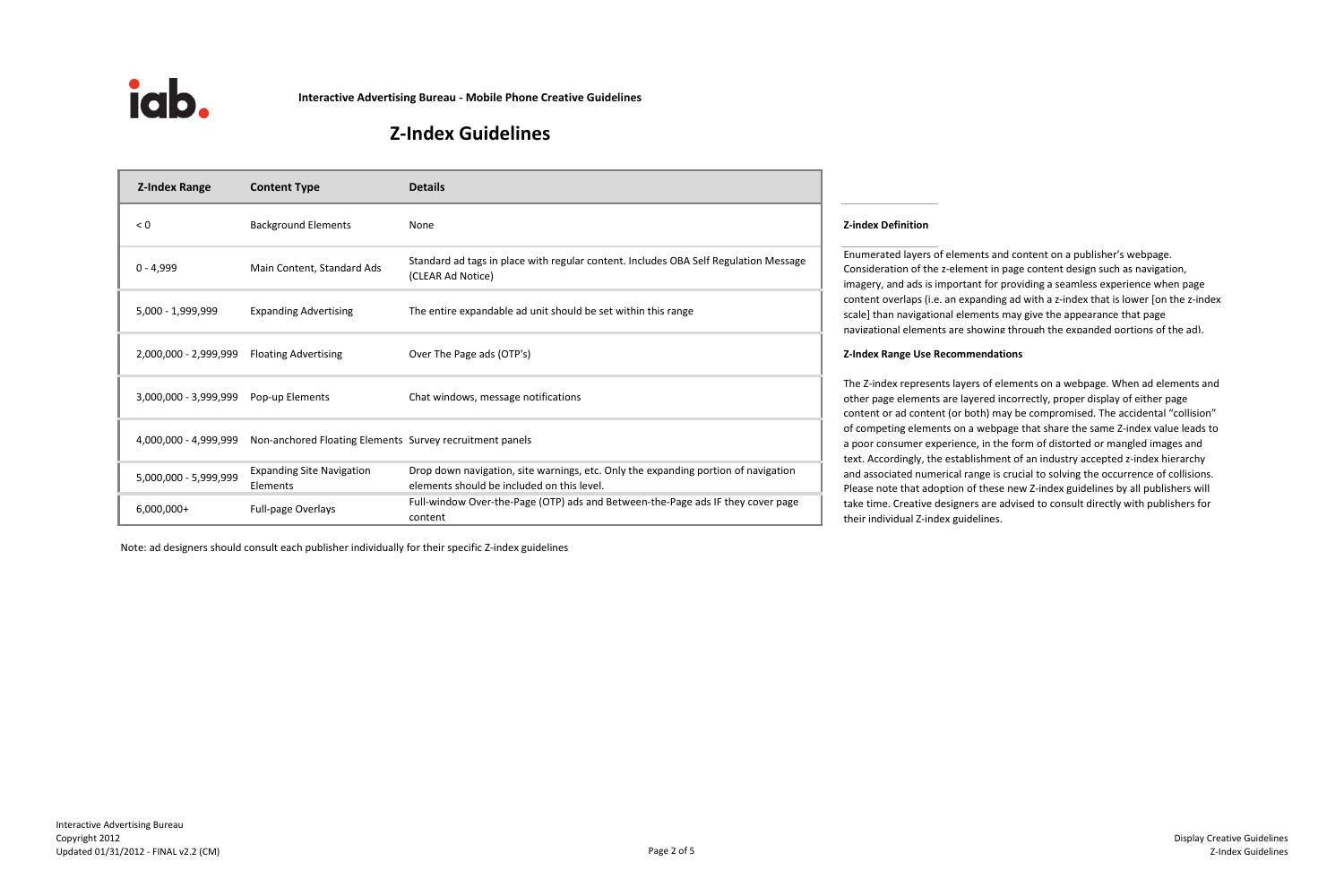| <b>Z-Index Range</b>  | <b>Content Type</b>                                                            | <b>Details</b>                                                                                                                   |                                                                                                                                                                          |  |
|-----------------------|--------------------------------------------------------------------------------|----------------------------------------------------------------------------------------------------------------------------------|--------------------------------------------------------------------------------------------------------------------------------------------------------------------------|--|
| $\leq 0$              | <b>Background Elements</b>                                                     | None                                                                                                                             | <b>Z-index Definition</b>                                                                                                                                                |  |
| $0 - 4,999$           | Main Content, Standard Ads                                                     | Standard ad tags in place with regular content. Includes OBA Self Regulation Message<br>(CLEAR Ad Notice)                        | <b>Enumerated layers</b><br>Consideration of t<br>imagery, and ads i<br>content overlaps (<br>scale] than navigat<br>navigational eleme                                  |  |
| 5,000 - 1,999,999     | <b>Expanding Advertising</b>                                                   | The entire expandable ad unit should be set within this range                                                                    |                                                                                                                                                                          |  |
| 2,000,000 - 2,999,999 | <b>Floating Advertising</b>                                                    | Over The Page ads (OTP's)                                                                                                        | <b>Z-Index Range Use</b>                                                                                                                                                 |  |
| 3,000,000 - 3,999,999 | Pop-up Elements                                                                | Chat windows, message notifications                                                                                              | The Z-index repres<br>other page elemer<br>content or ad cont<br>of competing elem<br>a poor consumer o<br>text. Accordingly,<br>and associated nu<br>Please note that a |  |
|                       | 4,000,000 - 4,999,999 Non-anchored Floating Elements Survey recruitment panels |                                                                                                                                  |                                                                                                                                                                          |  |
| 5,000,000 - 5,999,999 | <b>Expanding Site Navigation</b><br>Elements                                   | Drop down navigation, site warnings, etc. Only the expanding portion of navigation<br>elements should be included on this level. |                                                                                                                                                                          |  |
| $6,000,000+$          | Full-page Overlays                                                             | Full-window Over-the-Page (OTP) ads and Between-the-Page ads IF they cover page<br>content                                       | take time. Creative<br>their individual Z-i                                                                                                                              |  |



**Interactive Advertising Bureau - Mobile Phone Creative Guidelines**

# **Z-Index Guidelines**

Note: ad designers should consult each publisher individually for their specific Z-index guidelines

ated layers of elements and content on a publisher's webpage. ration of the z-element in page content design such as navigation, , and ads is important for providing a seamless experience when page overlaps (i.e. an expanding ad with a z-index that is lower [on the z-index an navigational elements may give the appearance that page onal elements are showing through the expanded portions of the ad).

## **2,000,000 Range Use Recommendations**

lex represents layers of elements on a webpage. When ad elements and ge elements are layered incorrectly, proper display of either page or ad content (or both) may be compromised. The accidental "collision" eting elements on a webpage that share the same Z-index value leads to onsumer experience, in the form of distorted or mangled images and tordingly, the establishment of an industry accepted z-index hierarchy ociated numerical range is crucial to solving the occurrence of collisions. ote that adoption of these new Z-index guidelines by all publishers will e. Creative designers are advised to consult directly with publishers for ividual Z-index guidelines.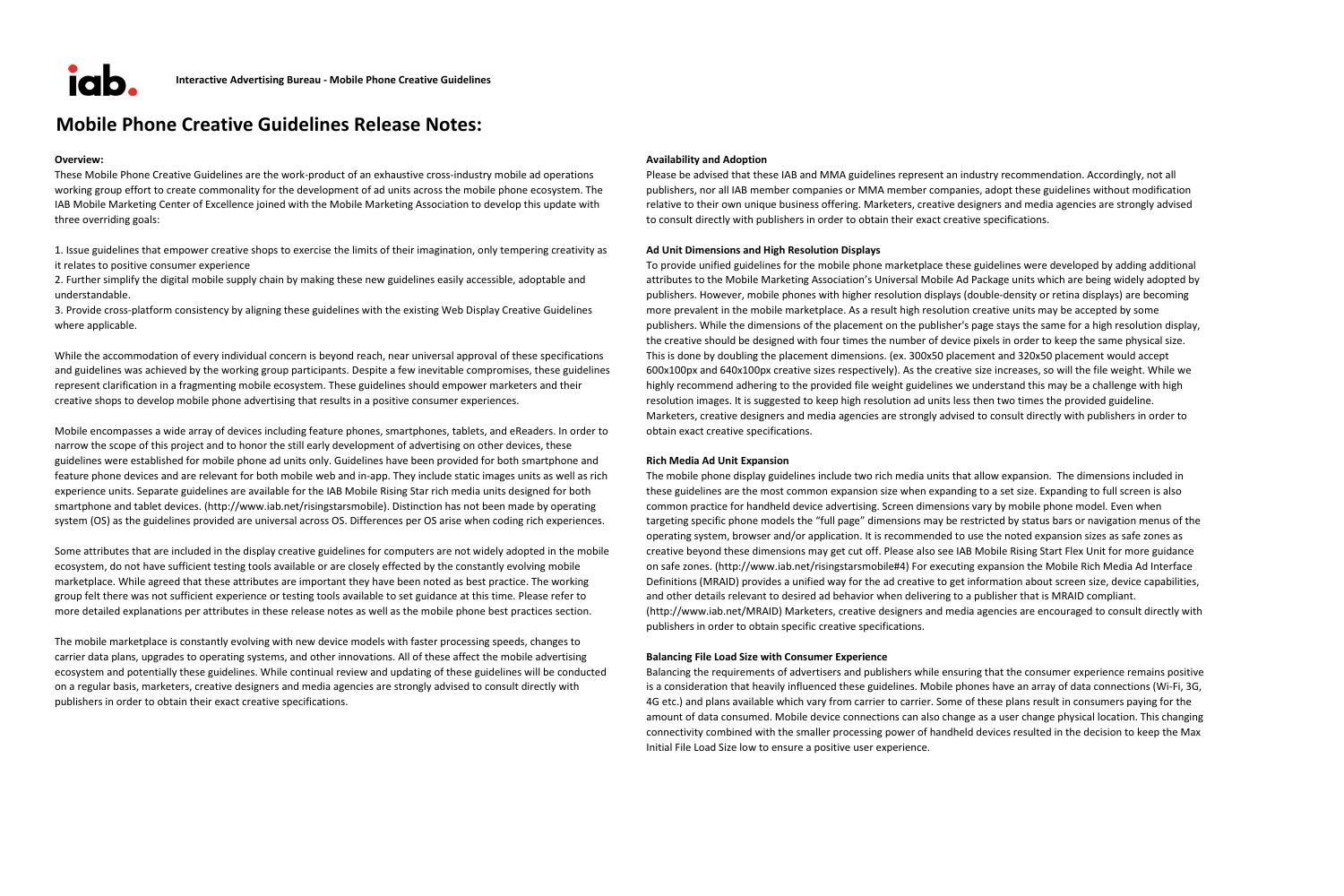

## **Mobile Phone Creative Guidelines Release Notes:**

#### **Overview: Availability and Adoption**

These Mobile Phone Creative Guidelines are the work-product of an exhaustive cross-industry mobile ad operations working group effort to create commonality for the development of ad units across the mobile phone ecosystem. The IAB Mobile Marketing Center of Excellence joined with the Mobile Marketing Association to develop this update with three overriding goals:

1. Issue guidelines that empower creative shops to exercise the limits of their imagination, only tempering creativity as it relates to positive consumer experience

2. Further simplify the digital mobile supply chain by making these new guidelines easily accessible, adoptable and understandable.

3. Provide cross-platform consistency by aligning these guidelines with the existing Web Display Creative Guidelines where applicable.

While the accommodation of every individual concern is beyond reach, near universal approval of these specifications and guidelines was achieved by the working group participants. Despite a few inevitable compromises, these guidelines represent clarification in a fragmenting mobile ecosystem. These guidelines should empower marketers and their creative shops to develop mobile phone advertising that results in a positive consumer experiences.

Mobile encompasses a wide array of devices including feature phones, smartphones, tablets, and eReaders. In order to narrow the scope of this project and to honor the still early development of advertising on other devices, these guidelines were established for mobile phone ad units only. Guidelines have been provided for both smartphone and feature phone devices and are relevant for both mobile web and in-app. They include static images units as well as rich experience units. Separate guidelines are available for the IAB Mobile Rising Star rich media units designed for both smartphone and tablet devices. (http://www.iab.net/risingstarsmobile). Distinction has not been made by operating system (OS) as the guidelines provided are universal across OS. Differences per OS arise when coding rich experiences.

Some attributes that are included in the display creative guidelines for computers are not widely adopted in the mobile ecosystem, do not have sufficient testing tools available or are closely effected by the constantly evolving mobile marketplace. While agreed that these attributes are important they have been noted as best practice. The working group felt there was not sufficient experience or testing tools available to set guidance at this time. Please refer to more detailed explanations per attributes in these release notes as well as the mobile phone best practices section.

The mobile marketplace is constantly evolving with new device models with faster processing speeds, changes to carrier data plans, upgrades to operating systems, and other innovations. All of these affect the mobile advertising ecosystem and potentially these guidelines. While continual review and updating of these guidelines will be conducted on a regular basis, marketers, creative designers and media agencies are strongly advised to consult directly with publishers in order to obtain their exact creative specifications.

Please be advised that these IAB and MMA guidelines represent an industry recommendation. Accordingly, not all publishers, nor all IAB member companies or MMA member companies, adopt these guidelines without modification relative to their own unique business offering. Marketers, creative designers and media agencies are strongly advised to consult directly with publishers in order to obtain their exact creative specifications.

#### **Ad Unit Dimensions and High Resolution Displays**

To provide unified guidelines for the mobile phone marketplace these guidelines were developed by adding additional attributes to the Mobile Marketing Association's Universal Mobile Ad Package units which are being widely adopted by publishers. However, mobile phones with higher resolution displays (double-density or retina displays) are becoming more prevalent in the mobile marketplace. As a result high resolution creative units may be accepted by some publishers. While the dimensions of the placement on the publisher's page stays the same for a high resolution display, the creative should be designed with four times the number of device pixels in order to keep the same physical size. This is done by doubling the placement dimensions. (ex. 300x50 placement and 320x50 placement would accept 600x100px and 640x100px creative sizes respectively). As the creative size increases, so will the file weight. While we highly recommend adhering to the provided file weight guidelines we understand this may be a challenge with high resolution images. It is suggested to keep high resolution ad units less then two times the provided guideline. Marketers, creative designers and media agencies are strongly advised to consult directly with publishers in order to obtain exact creative specifications.

#### **Rich Media Ad Unit Expansion**

The mobile phone display guidelines include two rich media units that allow expansion. The dimensions included in these guidelines are the most common expansion size when expanding to a set size. Expanding to full screen is also common practice for handheld device advertising. Screen dimensions vary by mobile phone model. Even when targeting specific phone models the "full page" dimensions may be restricted by status bars or navigation menus of the operating system, browser and/or application. It is recommended to use the noted expansion sizes as safe zones as creative beyond these dimensions may get cut off. Please also see IAB Mobile Rising Start Flex Unit for more guidance on safe zones. (http://www.iab.net/risingstarsmobile#4) For executing expansion the Mobile Rich Media Ad Interface Definitions (MRAID) provides a unified way for the ad creative to get information about screen size, device capabilities, and other details relevant to desired ad behavior when delivering to a publisher that is MRAID compliant. (http://www.iab.net/MRAID) Marketers, creative designers and media agencies are encouraged to consult directly with publishers in order to obtain specific creative specifications.

#### **Balancing File Load Size with Consumer Experience**

Balancing the requirements of advertisers and publishers while ensuring that the consumer experience remains positive is a consideration that heavily influenced these guidelines. Mobile phones have an array of data connections (Wi-Fi, 3G, 4G etc.) and plans available which vary from carrier to carrier. Some of these plans result in consumers paying for the amount of data consumed. Mobile device connections can also change as a user change physical location. This changing connectivity combined with the smaller processing power of handheld devices resulted in the decision to keep the Max Initial File Load Size low to ensure a positive user experience.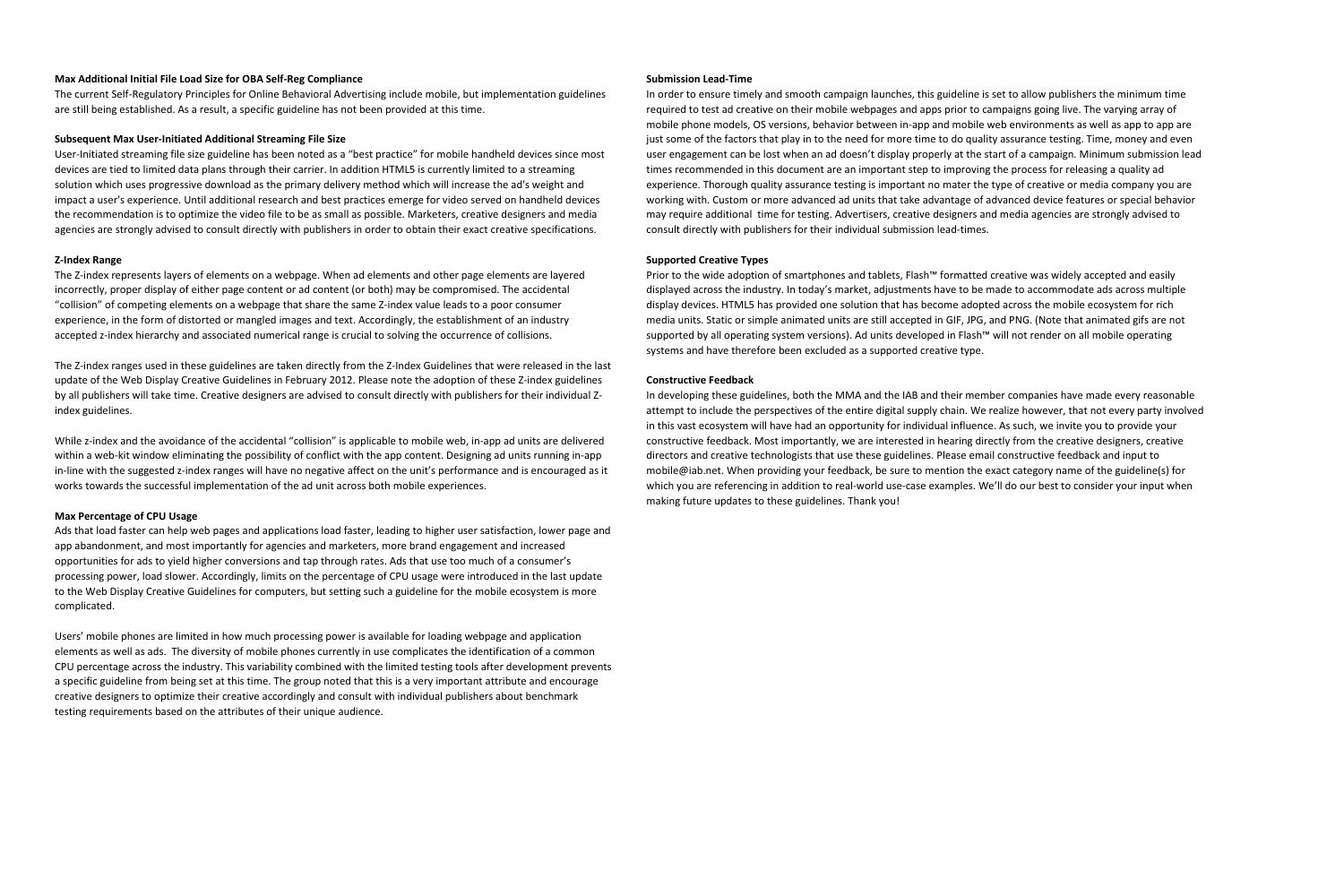#### **Max Additional Initial File Load Size for OBA Self-Reg Compliance Submission Lead-Time** Submission Lead-Time

The current Self-Regulatory Principles for Online Behavioral Advertising include mobile, but implementation guidelines are still being established. As a result, a specific guideline has not been provided at this time.

#### **Subsequent Max User-Initiated Additional Streaming File Size**

User-Initiated streaming file size guideline has been noted as a "best practice" for mobile handheld devices since most devices are tied to limited data plans through their carrier. In addition HTML5 is currently limited to a streaming solution which uses progressive download as the primary delivery method which will increase the ad's weight and impact a user's experience. Until additional research and best practices emerge for video served on handheld devices the recommendation is to optimize the video file to be as small as possible. Marketers, creative designers and media agencies are strongly advised to consult directly with publishers in order to obtain their exact creative specifications.

#### **Z-Index Range**

While z-index and the avoidance of the accidental "collision" is applicable to mobile web, in-app ad units are delivered within a web-kit window eliminating the possibility of conflict with the app content. Designing ad units running in-app in-line with the suggested z-index ranges will have no negative affect on the unit's performance and is encouraged as it works towards the successful implementation of the ad unit across both mobile experiences.

The Z-index represents layers of elements on a webpage. When ad elements and other page elements are layered incorrectly, proper display of either page content or ad content (or both) may be compromised. The accidental "collision" of competing elements on a webpage that share the same Z-index value leads to a poor consumer experience, in the form of distorted or mangled images and text. Accordingly, the establishment of an industry accepted z-index hierarchy and associated numerical range is crucial to solving the occurrence of collisions.

The Z-index ranges used in these guidelines are taken directly from the Z-Index Guidelines that were released in the last update of the Web Display Creative Guidelines in February 2012. Please note the adoption of these Z-index guidelines by all publishers will take time. Creative designers are advised to consult directly with publishers for their individual Zindex guidelines.

#### **Max Percentage of CPU Usage**

Prior to the wide adoption of smartphones and tablets, Flash™ formatted creative was widely accepted and easily displayed across the industry. In today's market, adjustments have to be made to accommodate ads across multiple display devices. HTML5 has provided one solution that has become adopted across the mobile ecosystem for rich media units. Static or simple animated units are still accepted in GIF, JPG, and PNG. (Note that animated gifs are not supported by all operating system versions). Ad units developed in Flash™ will not render on all mobile operating systems and have therefore been excluded as a supported creative type.

Ads that load faster can help web pages and applications load faster, leading to higher user satisfaction, lower page and app abandonment, and most importantly for agencies and marketers, more brand engagement and increased opportunities for ads to yield higher conversions and tap through rates. Ads that use too much of a consumer's processing power, load slower. Accordingly, limits on the percentage of CPU usage were introduced in the last update to the Web Display Creative Guidelines for computers, but setting such a guideline for the mobile ecosystem is more complicated.

Users' mobile phones are limited in how much processing power is available for loading webpage and application elements as well as ads. The diversity of mobile phones currently in use complicates the identification of a common CPU percentage across the industry. This variability combined with the limited testing tools after development prevents a specific guideline from being set at this time. The group noted that this is a very important attribute and encourage creative designers to optimize their creative accordingly and consult with individual publishers about benchmark testing requirements based on the attributes of their unique audience.

In order to ensure timely and smooth campaign launches, this guideline is set to allow publishers the minimum time required to test ad creative on their mobile webpages and apps prior to campaigns going live. The varying array of mobile phone models, OS versions, behavior between in-app and mobile web environments as well as app to app are just some of the factors that play in to the need for more time to do quality assurance testing. Time, money and even user engagement can be lost when an ad doesn't display properly at the start of a campaign. Minimum submission lead times recommended in this document are an important step to improving the process for releasing a quality ad experience. Thorough quality assurance testing is important no mater the type of creative or media company you are working with. Custom or more advanced ad units that take advantage of advanced device features or special behavior may require additional time for testing. Advertisers, creative designers and media agencies are strongly advised to consult directly with publishers for their individual submission lead-times.

#### **Supported Creative Types**

#### **Constructive Feedback**

In developing these guidelines, both the MMA and the IAB and their member companies have made every reasonable attempt to include the perspectives of the entire digital supply chain. We realize however, that not every party involved in this vast ecosystem will have had an opportunity for individual influence. As such, we invite you to provide your constructive feedback. Most importantly, we are interested in hearing directly from the creative designers, creative directors and creative technologists that use these guidelines. Please email constructive feedback and input to mobile@iab.net. When providing your feedback, be sure to mention the exact category name of the guideline(s) for which you are referencing in addition to real-world use-case examples. We'll do our best to consider your input when making future updates to these guidelines. Thank you!